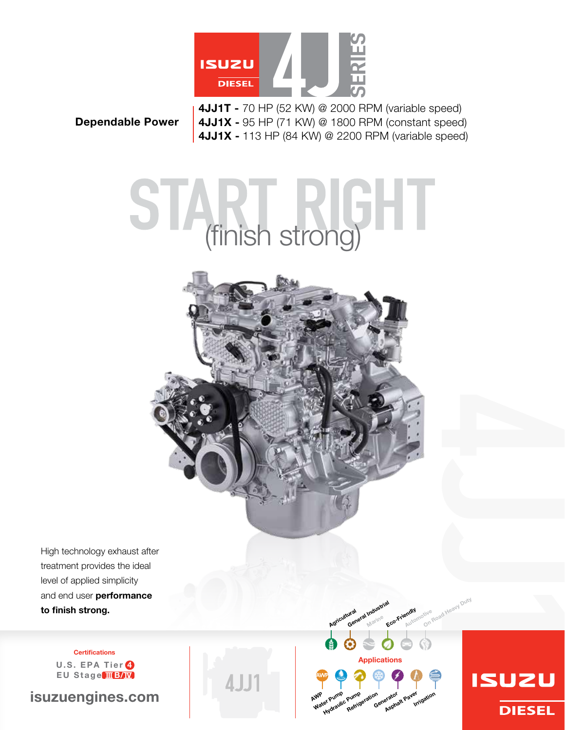

## Dependable Power

4JJ1T - 70 HP (52 kW) @ 2000 RPM (variable speed) 4JJ1X - 95 HP (71 KW) @ 1800 RPM (constant speed) 4JJ1X - 113 HP (84 kW) @ 2200 RPM (variable speed)

# START RIGHT



Applications

Purnp<sub>eration</sub><br>Refrigeration <sub>Generator</sub> paver

Eco-Friendly Automotive

ation<br>Irrigation

tive <sub>Road Heavy Duty</sub>

**ISUZU** 

**DIESEL** 

ural<br>General Industrial Marine

Agricultural

WP Pump<br>Water Pump

er Pump<br>er Pump Pump<br>Hydraulic <sub>Refrig</sub>

AWP

High technology exhaust after treatment provides the ideal level of applied simplicity and end user performance to finish strong.

> **Certifications** U.S. EPA Tier <sup>4</sup> EU Stage IIB/W

isuzuengines.com